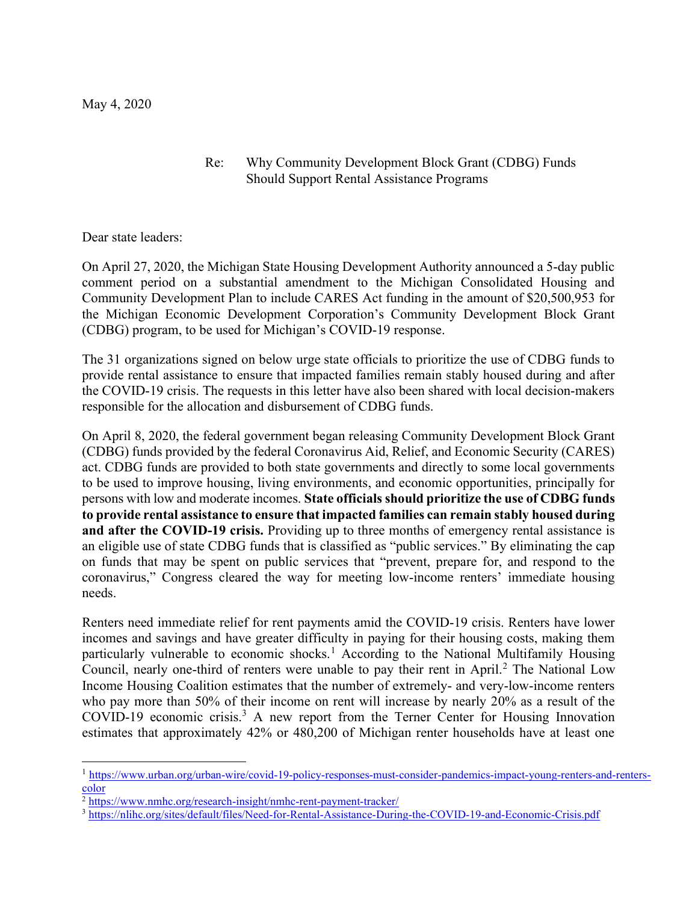## Re: Why Community Development Block Grant (CDBG) Funds Should Support Rental Assistance Programs

Dear state leaders:

On April 27, 2020, the Michigan State Housing Development Authority announced a 5-day public comment period on a substantial amendment to the Michigan Consolidated Housing and Community Development Plan to include CARES Act funding in the amount of \$20,500,953 for the Michigan Economic Development Corporation's Community Development Block Grant (CDBG) program, to be used for Michigan's COVID-19 response.

The 31 organizations signed on below urge state officials to prioritize the use of CDBG funds to provide rental assistance to ensure that impacted families remain stably housed during and after the COVID-19 crisis. The requests in this letter have also been shared with local decision-makers responsible for the allocation and disbursement of CDBG funds.

On April 8, 2020, the federal government began releasing Community Development Block Grant (CDBG) funds provided by the federal Coronavirus Aid, Relief, and Economic Security (CARES) act. CDBG funds are provided to both state governments and directly to some local governments to be used to improve housing, living environments, and economic opportunities, principally for persons with low and moderate incomes. State officials should prioritize the use of CDBG funds to provide rental assistance to ensure that impacted families can remain stably housed during and after the COVID-19 crisis. Providing up to three months of emergency rental assistance is an eligible use of state CDBG funds that is classified as "public services." By eliminating the cap on funds that may be spent on public services that "prevent, prepare for, and respond to the coronavirus," Congress cleared the way for meeting low-income renters' immediate housing needs.

Renters need immediate relief for rent payments amid the COVID-19 crisis. Renters have lower incomes and savings and have greater difficulty in paying for their housing costs, making them particularly vulnerable to economic shocks.<sup>1</sup> According to the National Multifamily Housing Council, nearly one-third of renters were unable to pay their rent in April.<sup>2</sup> The National Low Income Housing Coalition estimates that the number of extremely- and very-low-income renters who pay more than 50% of their income on rent will increase by nearly 20% as a result of the COVID-19 economic crisis.<sup>3</sup> A new report from the Terner Center for Housing Innovation estimates that approximately 42% or 480,200 of Michigan renter households have at least one

<sup>1</sup> https://www.urban.org/urban-wire/covid-19-policy-responses-must-consider-pandemics-impact-young-renters-and-renterscolor

<sup>&</sup>lt;sup>2</sup> https://www.nmhc.org/research-insight/nmhc-rent-payment-tracker/

<sup>3</sup> https://nlihc.org/sites/default/files/Need-for-Rental-Assistance-During-the-COVID-19-and-Economic-Crisis.pdf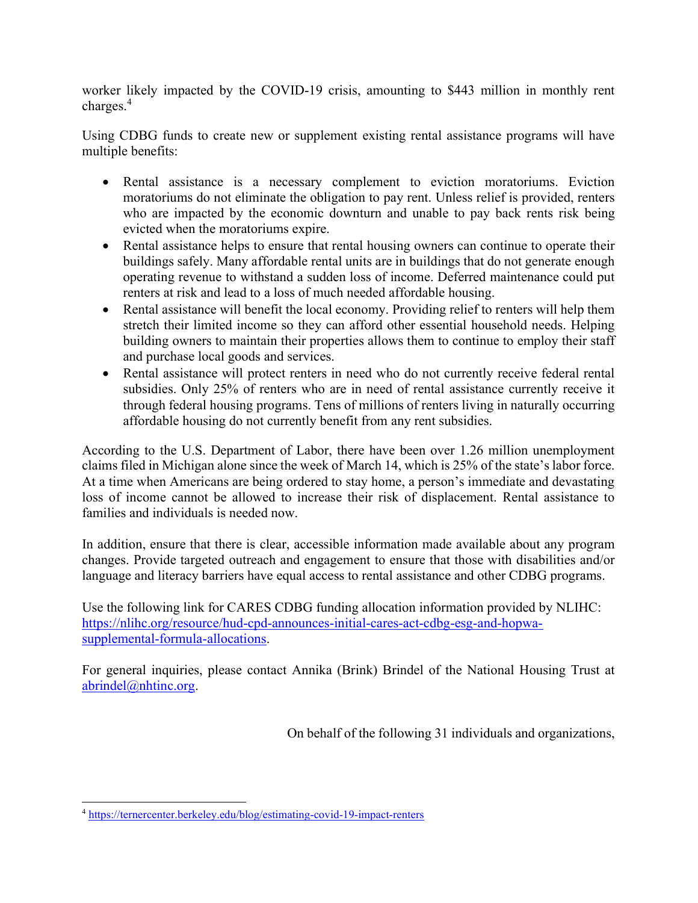worker likely impacted by the COVID-19 crisis, amounting to \$443 million in monthly rent charges.<sup>4</sup>

Using CDBG funds to create new or supplement existing rental assistance programs will have multiple benefits:

- Rental assistance is a necessary complement to eviction moratoriums. Eviction moratoriums do not eliminate the obligation to pay rent. Unless relief is provided, renters who are impacted by the economic downturn and unable to pay back rents risk being evicted when the moratoriums expire.
- Rental assistance helps to ensure that rental housing owners can continue to operate their buildings safely. Many affordable rental units are in buildings that do not generate enough operating revenue to withstand a sudden loss of income. Deferred maintenance could put renters at risk and lead to a loss of much needed affordable housing.
- Rental assistance will benefit the local economy. Providing relief to renters will help them stretch their limited income so they can afford other essential household needs. Helping building owners to maintain their properties allows them to continue to employ their staff and purchase local goods and services.
- Rental assistance will protect renters in need who do not currently receive federal rental subsidies. Only 25% of renters who are in need of rental assistance currently receive it through federal housing programs. Tens of millions of renters living in naturally occurring affordable housing do not currently benefit from any rent subsidies.

According to the U.S. Department of Labor, there have been over 1.26 million unemployment claims filed in Michigan alone since the week of March 14, which is 25% of the state's labor force. At a time when Americans are being ordered to stay home, a person's immediate and devastating loss of income cannot be allowed to increase their risk of displacement. Rental assistance to families and individuals is needed now.

In addition, ensure that there is clear, accessible information made available about any program changes. Provide targeted outreach and engagement to ensure that those with disabilities and/or language and literacy barriers have equal access to rental assistance and other CDBG programs.

Use the following link for CARES CDBG funding allocation information provided by NLIHC: https://nlihc.org/resource/hud-cpd-announces-initial-cares-act-cdbg-esg-and-hopwasupplemental-formula-allocations.

For general inquiries, please contact Annika (Brink) Brindel of the National Housing Trust at abrindel@nhtinc.org.

On behalf of the following 31 individuals and organizations,

<sup>4</sup> https://ternercenter.berkeley.edu/blog/estimating-covid-19-impact-renters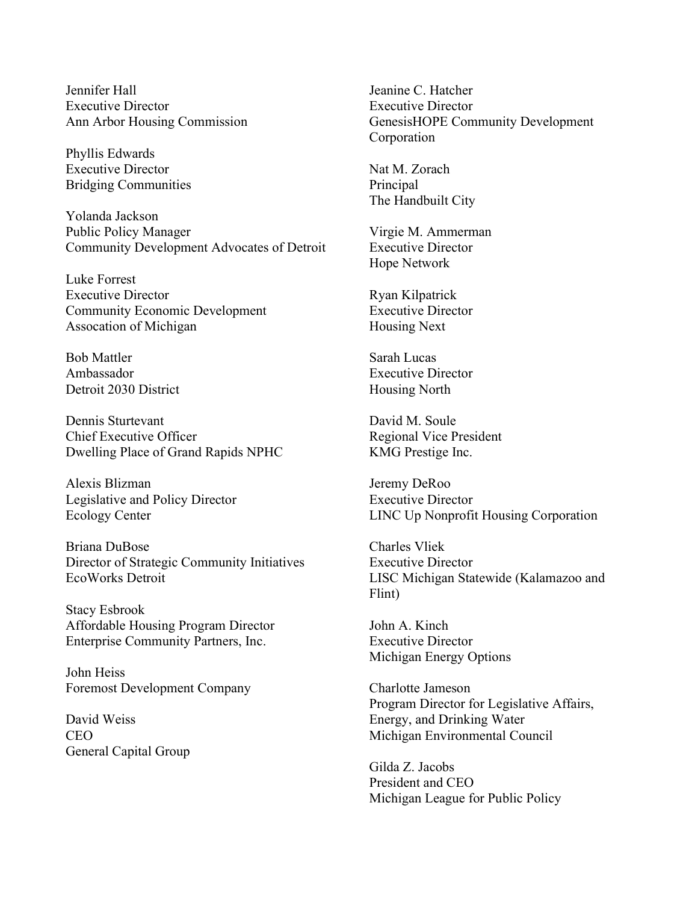Jennifer Hall Executive Director Ann Arbor Housing Commission

Phyllis Edwards Executive Director Bridging Communities

Yolanda Jackson Public Policy Manager Community Development Advocates of Detroit

Luke Forrest Executive Director Community Economic Development Assocation of Michigan

Bob Mattler Ambassador Detroit 2030 District

Dennis Sturtevant Chief Executive Officer Dwelling Place of Grand Rapids NPHC

Alexis Blizman Legislative and Policy Director Ecology Center

Briana DuBose Director of Strategic Community Initiatives EcoWorks Detroit

Stacy Esbrook Affordable Housing Program Director Enterprise Community Partners, Inc.

John Heiss Foremost Development Company

David Weiss CEO General Capital Group Jeanine C. Hatcher Executive Director GenesisHOPE Community Development Corporation

Nat M. Zorach **Principal** The Handbuilt City

Virgie M. Ammerman Executive Director Hope Network

Ryan Kilpatrick Executive Director Housing Next

Sarah Lucas Executive Director Housing North

David M. Soule Regional Vice President KMG Prestige Inc.

Jeremy DeRoo Executive Director LINC Up Nonprofit Housing Corporation

Charles Vliek Executive Director LISC Michigan Statewide (Kalamazoo and Flint)

John A. Kinch Executive Director Michigan Energy Options

Charlotte Jameson Program Director for Legislative Affairs, Energy, and Drinking Water Michigan Environmental Council

Gilda Z. Jacobs President and CEO Michigan League for Public Policy